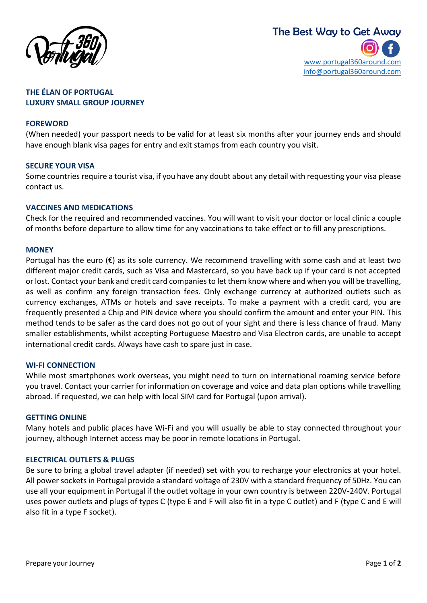



# **THE ÉLAN OF PORTUGAL LUXURY SMALL GROUP JOURNEY**

# **FOREWORD**

(When needed) your passport needs to be valid for at least six months after your journey ends and should have enough blank visa pages for entry and exit stamps from each country you visit.

### **SECURE YOUR VISA**

Some countries require a tourist visa, if you have any doubt about any detail with requesting your visa please contact us.

# **VACCINES AND MEDICATIONS**

Check for the required and recommended vaccines. You will want to visit your doctor or local clinic a couple of months before departure to allow time for any vaccinations to take effect or to fill any prescriptions.

### **MONEY**

Portugal has the euro ( $\epsilon$ ) as its sole currency. We recommend travelling with some cash and at least two different major credit cards, such as Visa and Mastercard, so you have back up if your card is not accepted or lost. Contact your bank and credit card companies to let them know where and when you will be travelling, as well as confirm any foreign transaction fees. Only exchange currency at authorized outlets such as currency exchanges, ATMs or hotels and save receipts. To make a payment with a credit card, you are frequently presented a Chip and PIN device where you should confirm the amount and enter your PIN. This method tends to be safer as the card does not go out of your sight and there is less chance of fraud. Many smaller establishments, whilst accepting Portuguese Maestro and Visa Electron cards, are unable to accept international credit cards. Always have cash to spare just in case.

## **WI-FI CONNECTION**

While most smartphones work overseas, you might need to turn on international roaming service before you travel. Contact your carrier for information on coverage and voice and data plan options while travelling abroad. If requested, we can help with local SIM card for Portugal (upon arrival).

#### **GETTING ONLINE**

Many hotels and public places have Wi-Fi and you will usually be able to stay connected throughout your journey, although Internet access may be poor in remote locations in Portugal.

# **ELECTRICAL OUTLETS & PLUGS**

Be sure to bring a global travel adapter (if needed) set with you to recharge your electronics at your hotel. All power sockets in Portugal provide a standard voltage of 230V with a standard frequency of 50Hz. You can use all your equipment in Portugal if the outlet voltage in your own country is between 220V-240V. Portugal uses power outlets and plugs of types C (type E and F will also fit in a type C outlet) and F (type C and E will also fit in a type F socket).